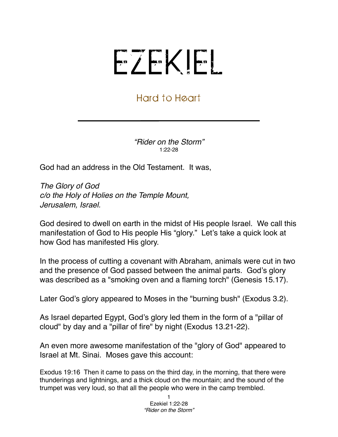## EZEKIEL

## Hard to Heart

*"Rider on the Storm"* 1:22-28

God had an address in the Old Testament. It was,

*The Glory of God c/o the Holy of Holies on the Temple Mount, Jerusalem, Israel.*

God desired to dwell on earth in the midst of His people Israel. We call this manifestation of God to His people His "glory." Let's take a quick look at how God has manifested His glory.

In the process of cutting a covenant with Abraham, animals were cut in two and the presence of God passed between the animal parts. God's glory was described as a "smoking oven and a flaming torch" (Genesis 15.17).

Later God's glory appeared to Moses in the "burning bush" (Exodus 3.2).

As Israel departed Egypt, God's glory led them in the form of a "pillar of cloud" by day and a "pillar of fire" by night (Exodus 13.21-22).

An even more awesome manifestation of the "glory of God" appeared to Israel at Mt. Sinai. Moses gave this account:

Exodus 19:16 Then it came to pass on the third day, in the morning, that there were thunderings and lightnings, and a thick cloud on the mountain; and the sound of the trumpet was very loud, so that all the people who were in the camp trembled.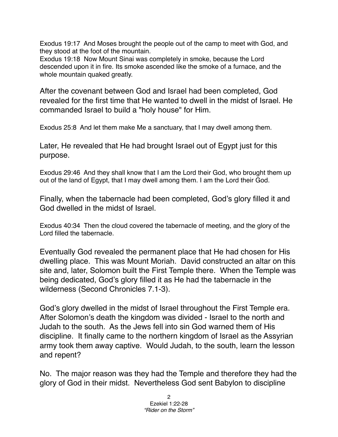Exodus 19:17 And Moses brought the people out of the camp to meet with God, and they stood at the foot of the mountain.

Exodus 19:18 Now Mount Sinai was completely in smoke, because the Lord descended upon it in fire. Its smoke ascended like the smoke of a furnace, and the whole mountain quaked greatly.

After the covenant between God and Israel had been completed, God revealed for the first time that He wanted to dwell in the midst of Israel. He commanded Israel to build a "holy house" for Him.

Exodus 25:8 And let them make Me a sanctuary, that I may dwell among them.

Later, He revealed that He had brought Israel out of Egypt just for this purpose.

Exodus 29:46 And they shall know that I am the Lord their God, who brought them up out of the land of Egypt, that I may dwell among them. I am the Lord their God.

Finally, when the tabernacle had been completed, God's glory filled it and God dwelled in the midst of Israel.

Exodus 40:34 Then the cloud covered the tabernacle of meeting, and the glory of the Lord filled the tabernacle.

Eventually God revealed the permanent place that He had chosen for His dwelling place. This was Mount Moriah. David constructed an altar on this site and, later, Solomon built the First Temple there. When the Temple was being dedicated, God's glory filled it as He had the tabernacle in the wilderness (Second Chronicles 7.1-3).

God's glory dwelled in the midst of Israel throughout the First Temple era. After Solomon's death the kingdom was divided - Israel to the north and Judah to the south. As the Jews fell into sin God warned them of His discipline. It finally came to the northern kingdom of Israel as the Assyrian army took them away captive. Would Judah, to the south, learn the lesson and repent?

No. The major reason was they had the Temple and therefore they had the glory of God in their midst. Nevertheless God sent Babylon to discipline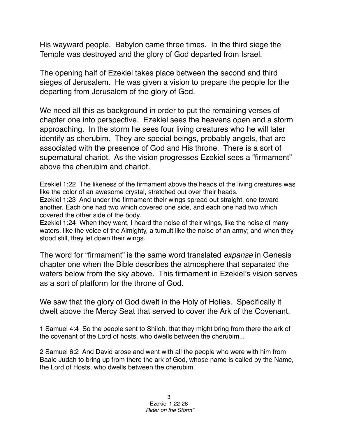His wayward people. Babylon came three times. In the third siege the Temple was destroyed and the glory of God departed from Israel.

The opening half of Ezekiel takes place between the second and third sieges of Jerusalem. He was given a vision to prepare the people for the departing from Jerusalem of the glory of God.

We need all this as background in order to put the remaining verses of chapter one into perspective. Ezekiel sees the heavens open and a storm approaching. In the storm he sees four living creatures who he will later identify as cherubim. They are special beings, probably angels, that are associated with the presence of God and His throne. There is a sort of supernatural chariot. As the vision progresses Ezekiel sees a "firmament" above the cherubim and chariot.

Ezekiel 1:22 The likeness of the firmament above the heads of the living creatures was like the color of an awesome crystal, stretched out over their heads. Ezekiel 1:23 And under the firmament their wings spread out straight, one toward another. Each one had two which covered one side, and each one had two which covered the other side of the body.

Ezekiel 1:24 When they went, I heard the noise of their wings, like the noise of many waters, like the voice of the Almighty, a tumult like the noise of an army; and when they stood still, they let down their wings.

The word for "firmament" is the same word translated *expanse* in Genesis chapter one when the Bible describes the atmosphere that separated the waters below from the sky above. This firmament in Ezekiel's vision serves as a sort of platform for the throne of God.

We saw that the glory of God dwelt in the Holy of Holies. Specifically it dwelt above the Mercy Seat that served to cover the Ark of the Covenant.

1 Samuel 4:4 So the people sent to Shiloh, that they might bring from there the ark of the covenant of the Lord of hosts, who dwells between the cherubim...

2 Samuel 6:2 And David arose and went with all the people who were with him from Baale Judah to bring up from there the ark of God, whose name is called by the Name, the Lord of Hosts, who dwells between the cherubim.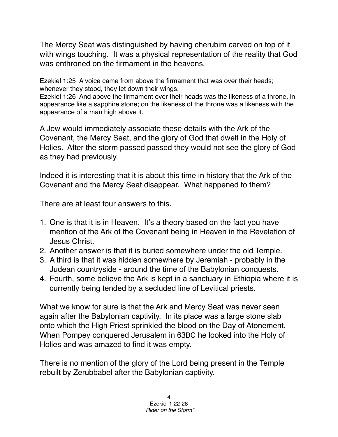The Mercy Seat was distinguished by having cherubim carved on top of it with wings touching. It was a physical representation of the reality that God was enthroned on the firmament in the heavens.

Ezekiel 1:25 A voice came from above the firmament that was over their heads; whenever they stood, they let down their wings.

Ezekiel 1:26 And above the firmament over their heads was the likeness of a throne, in appearance like a sapphire stone; on the likeness of the throne was a likeness with the appearance of a man high above it.

A Jew would immediately associate these details with the Ark of the Covenant, the Mercy Seat, and the glory of God that dwelt in the Holy of Holies. After the storm passed passed they would not see the glory of God as they had previously.

Indeed it is interesting that it is about this time in history that the Ark of the Covenant and the Mercy Seat disappear. What happened to them?

There are at least four answers to this.

- 1. One is that it is in Heaven. It's a theory based on the fact you have mention of the Ark of the Covenant being in Heaven in the Revelation of Jesus Christ.
- 2. Another answer is that it is buried somewhere under the old Temple.
- 3. A third is that it was hidden somewhere by Jeremiah probably in the Judean countryside - around the time of the Babylonian conquests.
- 4. Fourth, some believe the Ark is kept in a sanctuary in Ethiopia where it is currently being tended by a secluded line of Levitical priests.

What we know for sure is that the Ark and Mercy Seat was never seen again after the Babylonian captivity. In its place was a large stone slab onto which the High Priest sprinkled the blood on the Day of Atonement. When Pompey conquered Jerusalem in 63BC he looked into the Holy of Holies and was amazed to find it was empty.

There is no mention of the glory of the Lord being present in the Temple rebuilt by Zerubbabel after the Babylonian captivity.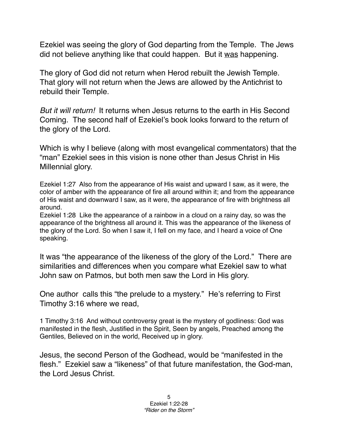Ezekiel was seeing the glory of God departing from the Temple. The Jews did not believe anything like that could happen. But it was happening.

The glory of God did not return when Herod rebuilt the Jewish Temple. That glory will not return when the Jews are allowed by the Antichrist to rebuild their Temple.

*But it will return!* It returns when Jesus returns to the earth in His Second Coming. The second half of Ezekiel's book looks forward to the return of the glory of the Lord.

Which is why I believe (along with most evangelical commentators) that the "man" Ezekiel sees in this vision is none other than Jesus Christ in His Millennial glory.

Ezekiel 1:27 Also from the appearance of His waist and upward I saw, as it were, the color of amber with the appearance of fire all around within it; and from the appearance of His waist and downward I saw, as it were, the appearance of fire with brightness all around.

Ezekiel 1:28 Like the appearance of a rainbow in a cloud on a rainy day, so was the appearance of the brightness all around it. This was the appearance of the likeness of the glory of the Lord. So when I saw it, I fell on my face, and I heard a voice of One speaking.

It was "the appearance of the likeness of the glory of the Lord." There are similarities and differences when you compare what Ezekiel saw to what John saw on Patmos, but both men saw the Lord in His glory.

One author calls this "the prelude to a mystery." He's referring to First Timothy 3:16 where we read,

1 Timothy 3:16 And without controversy great is the mystery of godliness: God was manifested in the flesh, Justified in the Spirit, Seen by angels, Preached among the Gentiles, Believed on in the world, Received up in glory.

Jesus, the second Person of the Godhead, would be "manifested in the flesh." Ezekiel saw a "likeness" of that future manifestation, the God-man, the Lord Jesus Christ.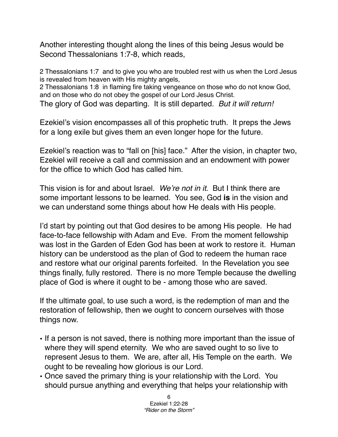Another interesting thought along the lines of this being Jesus would be Second Thessalonians 1:7-8, which reads,

2 Thessalonians 1:7 and to give you who are troubled rest with us when the Lord Jesus is revealed from heaven with His mighty angels,

2 Thessalonians 1:8 in flaming fire taking vengeance on those who do not know God, and on those who do not obey the gospel of our Lord Jesus Christ.

The glory of God was departing. It is still departed. *But it will return!*

Ezekiel's vision encompasses all of this prophetic truth. It preps the Jews for a long exile but gives them an even longer hope for the future.

Ezekiel's reaction was to "fall on [his] face." After the vision, in chapter two, Ezekiel will receive a call and commission and an endowment with power for the office to which God has called him.

This vision is for and about Israel. *We*'*re not in it*. But I think there are some important lessons to be learned. You see, God **is** in the vision and we can understand some things about how He deals with His people.

I'd start by pointing out that God desires to be among His people. He had face-to-face fellowship with Adam and Eve. From the moment fellowship was lost in the Garden of Eden God has been at work to restore it. Human history can be understood as the plan of God to redeem the human race and restore what our original parents forfeited. In the Revelation you see things finally, fully restored. There is no more Temple because the dwelling place of God is where it ought to be - among those who are saved.

If the ultimate goal, to use such a word, is the redemption of man and the restoration of fellowship, then we ought to concern ourselves with those things now.

- If a person is not saved, there is nothing more important than the issue of where they will spend eternity. We who are saved ought to so live to represent Jesus to them. We are, after all, His Temple on the earth. We ought to be revealing how glorious is our Lord.
- Once saved the primary thing is your relationship with the Lord. You should pursue anything and everything that helps your relationship with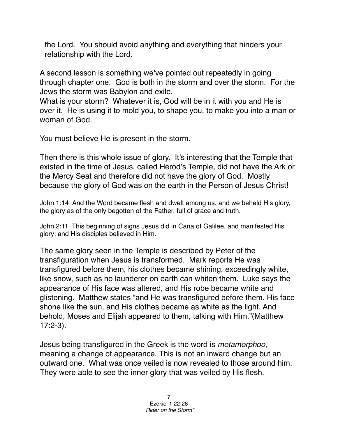the Lord. You should avoid anything and everything that hinders your relationship with the Lord.

A second lesson is something we've pointed out repeatedly in going through chapter one. God is both in the storm and over the storm. For the Jews the storm was Babylon and exile.

What is your storm? Whatever it is, God will be in it with you and He is over it. He is using it to mold you, to shape you, to make you into a man or woman of God.

You must believe He is present in the storm.

Then there is this whole issue of glory. It's interesting that the Temple that existed in the time of Jesus, called Herod's Temple, did not have the Ark or the Mercy Seat and therefore did not have the glory of God. Mostly because the glory of God was on the earth in the Person of Jesus Christ!

John 1:14 And the Word became flesh and dwelt among us, and we beheld His glory, the glory as of the only begotten of the Father, full of grace and truth.

John 2:11 This beginning of signs Jesus did in Cana of Galilee, and manifested His glory; and His disciples believed in Him.

The same glory seen in the Temple is described by Peter of the transfiguration when Jesus is transformed. Mark reports He was transfigured before them, his clothes became shining, exceedingly white, like snow, such as no launderer on earth can whiten them. Luke says the appearance of His face was altered, and His robe became white and glistening. Matthew states "and He was transfigured before them. His face shone like the sun, and His clothes became as white as the light. And behold, Moses and Elijah appeared to them, talking with Him."(Matthew 17:2-3).

Jesus being transfigured in the Greek is the word is *metamorphoo*, meaning a change of appearance. This is not an inward change but an outward one. What was once veiled is now revealed to those around him. They were able to see the inner glory that was veiled by His flesh.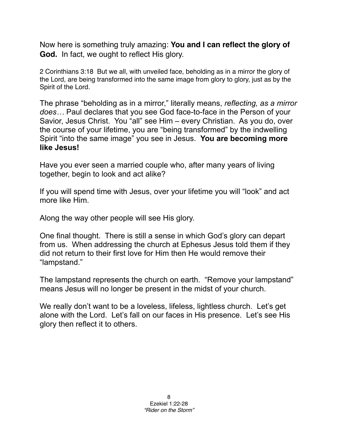Now here is something truly amazing: **You and I can reflect the glory of God.** In fact, we ought to reflect His glory.

2 Corinthians 3:18 But we all, with unveiled face, beholding as in a mirror the glory of the Lord, are being transformed into the same image from glory to glory, just as by the Spirit of the Lord.

The phrase "beholding as in a mirror," literally means, *reflecting, as a mirror does…* Paul declares that you see God face-to-face in the Person of your Savior, Jesus Christ. You "all" see Him – every Christian. As you do, over the course of your lifetime, you are "being transformed" by the indwelling Spirit "into the same image" you see in Jesus. **You are becoming more like Jesus!** 

Have you ever seen a married couple who, after many years of living together, begin to look and act alike?

If you will spend time with Jesus, over your lifetime you will "look" and act more like Him.

Along the way other people will see His glory.

One final thought. There is still a sense in which God's glory can depart from us. When addressing the church at Ephesus Jesus told them if they did not return to their first love for Him then He would remove their "lampstand."

The lampstand represents the church on earth. "Remove your lampstand" means Jesus will no longer be present in the midst of your church.

We really don't want to be a loveless, lifeless, lightless church. Let's get alone with the Lord. Let's fall on our faces in His presence. Let's see His glory then reflect it to others.